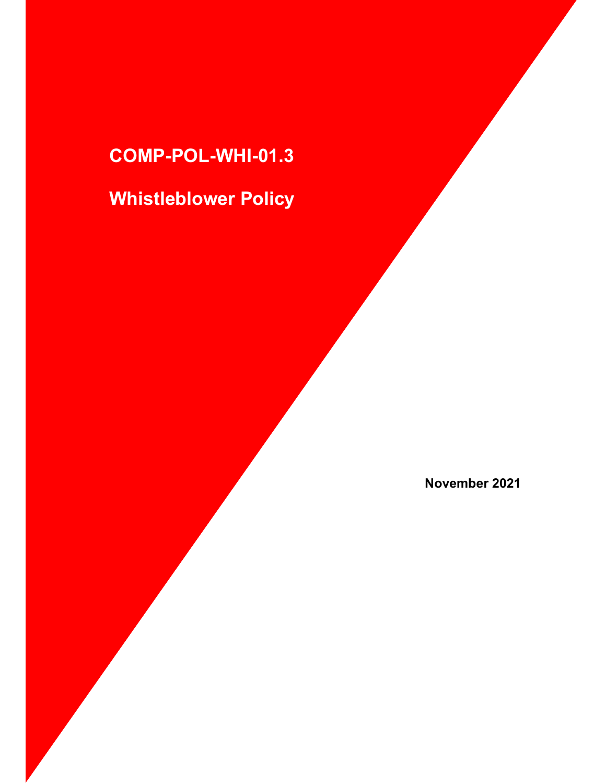### COMP-POL-WHI-01.3

## Whistleblower Policy

November 2021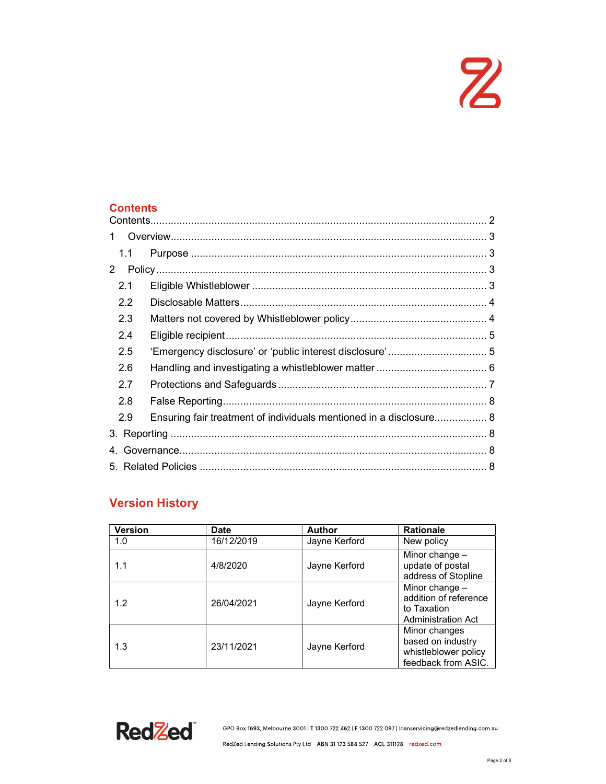# $\mathbf{z}$

#### **Contents**

| 1           |     |                                                                    |  |  |  |  |  |
|-------------|-----|--------------------------------------------------------------------|--|--|--|--|--|
|             | 1.1 |                                                                    |  |  |  |  |  |
| $2^{\circ}$ |     |                                                                    |  |  |  |  |  |
|             | 2.1 |                                                                    |  |  |  |  |  |
|             | 2.2 |                                                                    |  |  |  |  |  |
|             | 2.3 |                                                                    |  |  |  |  |  |
|             | 2.4 |                                                                    |  |  |  |  |  |
|             | 2.5 |                                                                    |  |  |  |  |  |
|             | 2.6 |                                                                    |  |  |  |  |  |
|             | 2.7 |                                                                    |  |  |  |  |  |
|             | 2.8 |                                                                    |  |  |  |  |  |
|             | 2.9 | Ensuring fair treatment of individuals mentioned in a disclosure 8 |  |  |  |  |  |
|             |     |                                                                    |  |  |  |  |  |
|             |     |                                                                    |  |  |  |  |  |
|             |     |                                                                    |  |  |  |  |  |

### Version History

| <b>Version</b> | Date       | Author        | <b>Rationale</b>                                                                    |
|----------------|------------|---------------|-------------------------------------------------------------------------------------|
| 1.0            | 16/12/2019 | Jayne Kerford | New policy                                                                          |
| 1.1            | 4/8/2020   | Jayne Kerford | Minor change -<br>update of postal<br>address of Stopline                           |
| 1.2            | 26/04/2021 | Jayne Kerford | Minor change -<br>addition of reference<br>to Taxation<br><b>Administration Act</b> |
| 1.3            | 23/11/2021 | Jayne Kerford | Minor changes<br>based on industry<br>whistleblower policy<br>feedback from ASIC.   |



GPO Box 1693, Melbourne 3001 | T 1300 722 462 | F 1300 722 097 | loanservicing@redzedlending.com.au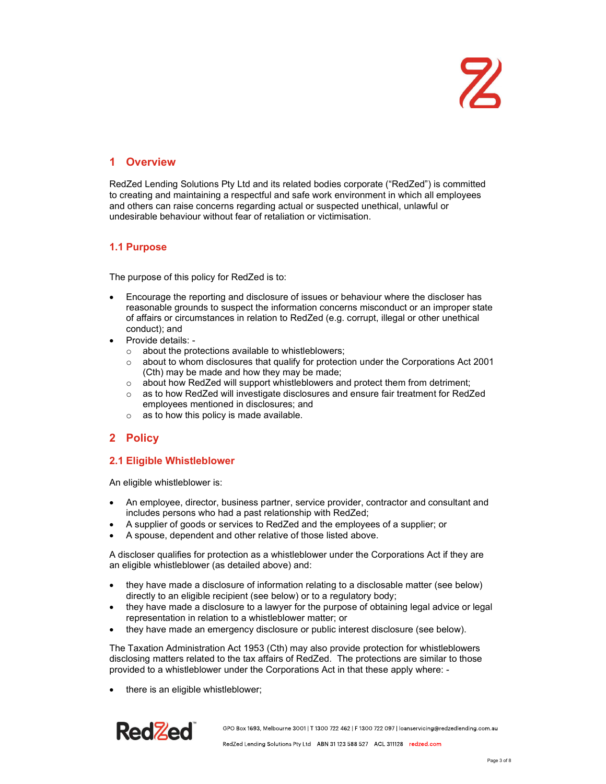# $\mathbf{Z}$

#### 1 Overview

RedZed Lending Solutions Pty Ltd and its related bodies corporate ("RedZed") is committed to creating and maintaining a respectful and safe work environment in which all employees and others can raise concerns regarding actual or suspected unethical, unlawful or undesirable behaviour without fear of retaliation or victimisation.

#### 1.1 Purpose

The purpose of this policy for RedZed is to:

- Encourage the reporting and disclosure of issues or behaviour where the discloser has reasonable grounds to suspect the information concerns misconduct or an improper state of affairs or circumstances in relation to RedZed (e.g. corrupt, illegal or other unethical conduct); and
- Provide details:
	- o about the protections available to whistleblowers;
	- $\circ$  about to whom disclosures that qualify for protection under the Corporations Act 2001 (Cth) may be made and how they may be made;
	- o about how RedZed will support whistleblowers and protect them from detriment;
	- $\circ$  as to how RedZed will investigate disclosures and ensure fair treatment for RedZed employees mentioned in disclosures; and
	- $\circ$  as to how this policy is made available.

### 2 Policy

#### 2.1 Eligible Whistleblower

An eligible whistleblower is:

- An employee, director, business partner, service provider, contractor and consultant and includes persons who had a past relationship with RedZed;
- A supplier of goods or services to RedZed and the employees of a supplier; or
- A spouse, dependent and other relative of those listed above.

A discloser qualifies for protection as a whistleblower under the Corporations Act if they are an eligible whistleblower (as detailed above) and:

- they have made a disclosure of information relating to a disclosable matter (see below) directly to an eligible recipient (see below) or to a regulatory body;
- they have made a disclosure to a lawyer for the purpose of obtaining legal advice or legal representation in relation to a whistleblower matter; or
- they have made an emergency disclosure or public interest disclosure (see below).

The Taxation Administration Act 1953 (Cth) may also provide protection for whistleblowers disclosing matters related to the tax affairs of RedZed. The protections are similar to those provided to a whistleblower under the Corporations Act in that these apply where: -

there is an eligible whistleblower;

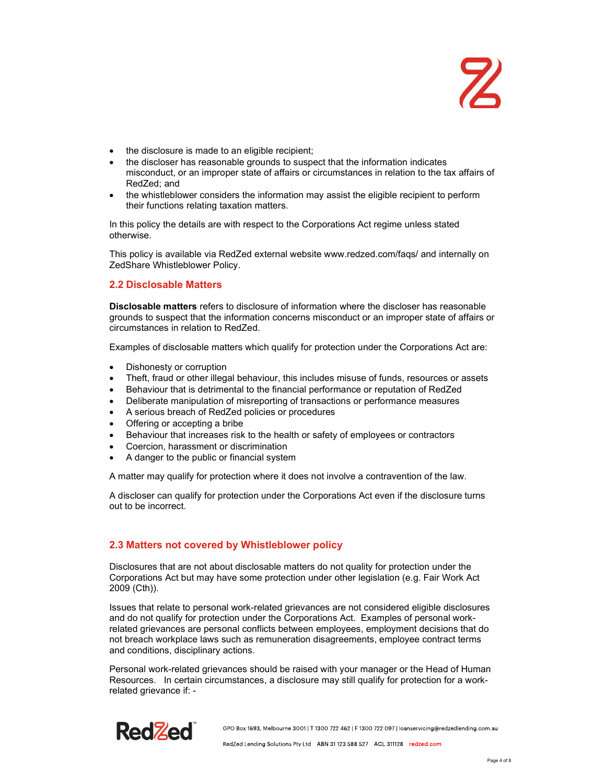- the disclosure is made to an eligible recipient;
- the discloser has reasonable grounds to suspect that the information indicates misconduct, or an improper state of affairs or circumstances in relation to the tax affairs of RedZed; and
- the whistleblower considers the information may assist the eligible recipient to perform their functions relating taxation matters.

In this policy the details are with respect to the Corporations Act regime unless stated otherwise.

This policy is available via RedZed external website www.redzed.com/faqs/ and internally on ZedShare Whistleblower Policy.

#### 2.2 Disclosable Matters

Disclosable matters refers to disclosure of information where the discloser has reasonable grounds to suspect that the information concerns misconduct or an improper state of affairs or circumstances in relation to RedZed.

Examples of disclosable matters which qualify for protection under the Corporations Act are:

- Dishonesty or corruption
- Theft, fraud or other illegal behaviour, this includes misuse of funds, resources or assets
- Behaviour that is detrimental to the financial performance or reputation of RedZed
- Deliberate manipulation of misreporting of transactions or performance measures
- A serious breach of RedZed policies or procedures
- Offering or accepting a bribe
- Behaviour that increases risk to the health or safety of employees or contractors
- Coercion, harassment or discrimination
- A danger to the public or financial system

A matter may qualify for protection where it does not involve a contravention of the law.

A discloser can qualify for protection under the Corporations Act even if the disclosure turns out to be incorrect.

#### 2.3 Matters not covered by Whistleblower policy

Disclosures that are not about disclosable matters do not quality for protection under the Corporations Act but may have some protection under other legislation (e.g. Fair Work Act 2009 (Cth)).

Issues that relate to personal work-related grievances are not considered eligible disclosures and do not qualify for protection under the Corporations Act. Examples of personal workrelated grievances are personal conflicts between employees, employment decisions that do not breach workplace laws such as remuneration disagreements, employee contract terms and conditions, disciplinary actions.

Personal work-related grievances should be raised with your manager or the Head of Human Resources. In certain circumstances, a disclosure may still qualify for protection for a workrelated grievance if: -

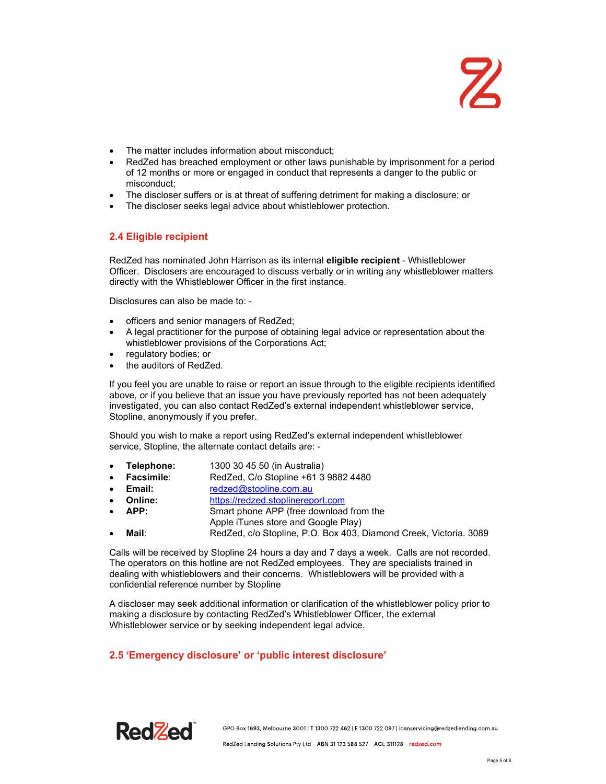- The matter includes information about misconduct;
- RedZed has breached employment or other laws punishable by imprisonment for a period of 12 months or more or engaged in conduct that represents a danger to the public or misconduct;
- The discloser suffers or is at threat of suffering detriment for making a disclosure; or
- The discloser seeks legal advice about whistleblower protection.

#### 2.4 Eligible recipient

RedZed has nominated John Harrison as its internal eligible recipient - Whistleblower Officer. Disclosers are encouraged to discuss verbally or in writing any whistleblower matters directly with the Whistleblower Officer in the first instance.

Disclosures can also be made to: -

- officers and senior managers of RedZed;
- A legal practitioner for the purpose of obtaining legal advice or representation about the whistleblower provisions of the Corporations Act;
- regulatory bodies; or
- the auditors of RedZed.

If you feel you are unable to raise or report an issue through to the eligible recipients identified above, or if you believe that an issue you have previously reported has not been adequately investigated, you can also contact RedZed's external independent whistleblower service, Stopline, anonymously if you prefer.

Should you wish to make a report using RedZed's external independent whistleblower service, Stopline, the alternate contact details are: -

- Telephone: 1300 30 45 50 (in Australia)
- Facsimile: RedZed, C/o Stopline +61 3 9882 4480
- Email: redzed@stopline.com.au
- Online: https://redzed.stoplinereport.com
- APP: Smart phone APP (free download from the
- Apple iTunes store and Google Play)
- Mail: RedZed, c/o Stopline, P.O. Box 403, Diamond Creek, Victoria. 3089

Calls will be received by Stopline 24 hours a day and 7 days a week. Calls are not recorded. The operators on this hotline are not RedZed employees. They are specialists trained in dealing with whistleblowers and their concerns. Whistleblowers will be provided with a confidential reference number by Stopline

A discloser may seek additional information or clarification of the whistleblower policy prior to making a disclosure by contacting RedZed's Whistleblower Officer, the external Whistleblower service or by seeking independent legal advice.

#### 2.5 'Emergency disclosure' or 'public interest disclosure'

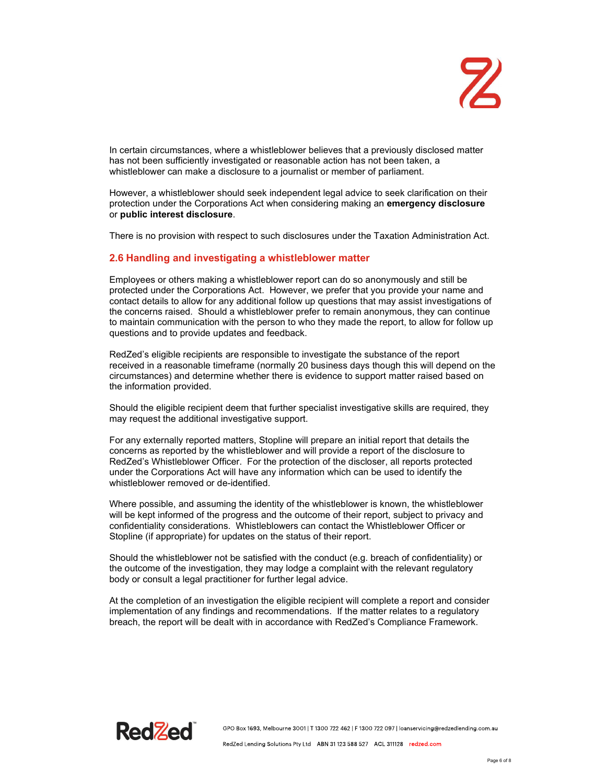In certain circumstances, where a whistleblower believes that a previously disclosed matter has not been sufficiently investigated or reasonable action has not been taken, a whistleblower can make a disclosure to a journalist or member of parliament.

However, a whistleblower should seek independent legal advice to seek clarification on their protection under the Corporations Act when considering making an emergency disclosure or public interest disclosure.

There is no provision with respect to such disclosures under the Taxation Administration Act.

#### 2.6 Handling and investigating a whistleblower matter

Employees or others making a whistleblower report can do so anonymously and still be protected under the Corporations Act. However, we prefer that you provide your name and contact details to allow for any additional follow up questions that may assist investigations of the concerns raised. Should a whistleblower prefer to remain anonymous, they can continue to maintain communication with the person to who they made the report, to allow for follow up questions and to provide updates and feedback.

RedZed's eligible recipients are responsible to investigate the substance of the report received in a reasonable timeframe (normally 20 business days though this will depend on the circumstances) and determine whether there is evidence to support matter raised based on the information provided.

Should the eligible recipient deem that further specialist investigative skills are required, they may request the additional investigative support.

For any externally reported matters, Stopline will prepare an initial report that details the concerns as reported by the whistleblower and will provide a report of the disclosure to RedZed's Whistleblower Officer. For the protection of the discloser, all reports protected under the Corporations Act will have any information which can be used to identify the whistleblower removed or de-identified.

Where possible, and assuming the identity of the whistleblower is known, the whistleblower will be kept informed of the progress and the outcome of their report, subject to privacy and confidentiality considerations. Whistleblowers can contact the Whistleblower Officer or Stopline (if appropriate) for updates on the status of their report.

Should the whistleblower not be satisfied with the conduct (e.g. breach of confidentiality) or the outcome of the investigation, they may lodge a complaint with the relevant regulatory body or consult a legal practitioner for further legal advice.

At the completion of an investigation the eligible recipient will complete a report and consider implementation of any findings and recommendations. If the matter relates to a regulatory breach, the report will be dealt with in accordance with RedZed's Compliance Framework.

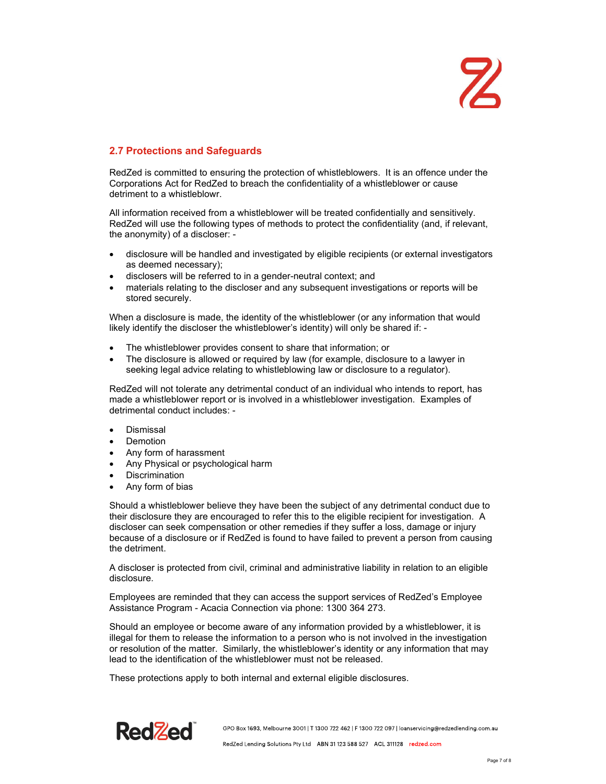## $\mathbf{Z}$

#### 2.7 Protections and Safeguards

RedZed is committed to ensuring the protection of whistleblowers. It is an offence under the Corporations Act for RedZed to breach the confidentiality of a whistleblower or cause detriment to a whistleblowr.

All information received from a whistleblower will be treated confidentially and sensitively. RedZed will use the following types of methods to protect the confidentiality (and, if relevant, the anonymity) of a discloser: -

- disclosure will be handled and investigated by eligible recipients (or external investigators as deemed necessary);
- disclosers will be referred to in a gender-neutral context; and
- materials relating to the discloser and any subsequent investigations or reports will be stored securely.

When a disclosure is made, the identity of the whistleblower (or any information that would likely identify the discloser the whistleblower's identity) will only be shared if: -

- The whistleblower provides consent to share that information; or
- The disclosure is allowed or required by law (for example, disclosure to a lawyer in seeking legal advice relating to whistleblowing law or disclosure to a regulator).

RedZed will not tolerate any detrimental conduct of an individual who intends to report, has made a whistleblower report or is involved in a whistleblower investigation. Examples of detrimental conduct includes: -

- Dismissal
- Demotion
- Any form of harassment
- Any Physical or psychological harm
- **Discrimination**
- Any form of bias

Should a whistleblower believe they have been the subject of any detrimental conduct due to their disclosure they are encouraged to refer this to the eligible recipient for investigation. A discloser can seek compensation or other remedies if they suffer a loss, damage or injury because of a disclosure or if RedZed is found to have failed to prevent a person from causing the detriment.

A discloser is protected from civil, criminal and administrative liability in relation to an eligible disclosure.

Employees are reminded that they can access the support services of RedZed's Employee Assistance Program - Acacia Connection via phone: 1300 364 273.

Should an employee or become aware of any information provided by a whistleblower, it is illegal for them to release the information to a person who is not involved in the investigation or resolution of the matter. Similarly, the whistleblower's identity or any information that may lead to the identification of the whistleblower must not be released.

These protections apply to both internal and external eligible disclosures.